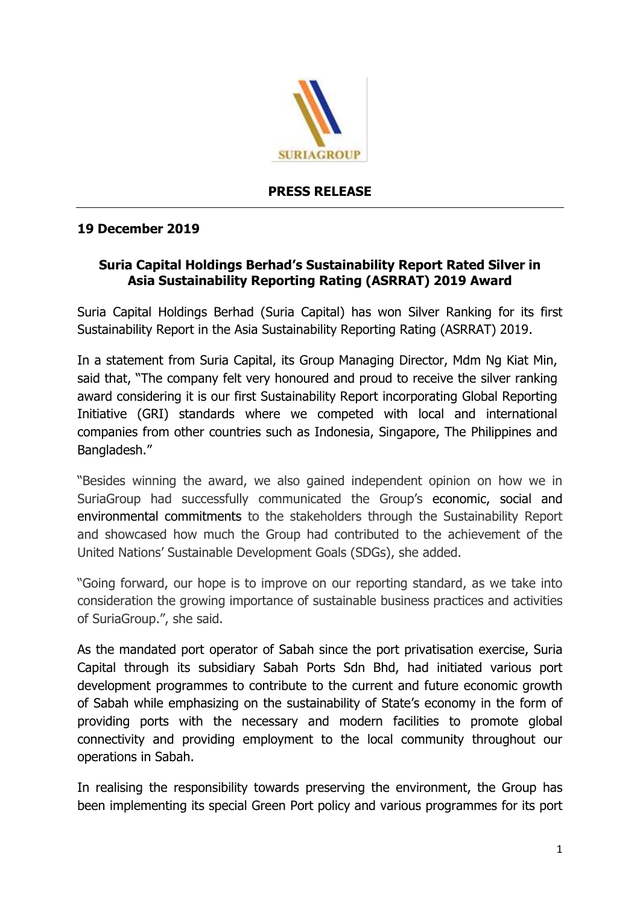

## **PRESS RELEASE**

## **19 December 2019**

## **Suria Capital Holdings Berhad's Sustainability Report Rated Silver in Asia Sustainability Reporting Rating (ASRRAT) 2019 Award**

Suria Capital Holdings Berhad (Suria Capital) has won Silver Ranking for its first Sustainability Report in the Asia Sustainability Reporting Rating (ASRRAT) 2019.

In a statement from Suria Capital, its Group Managing Director, Mdm Ng Kiat Min, said that, "The company felt very honoured and proud to receive the silver ranking award considering it is our first Sustainability Report incorporating Global Reporting Initiative (GRI) standards where we competed with local and international companies from other countries such as Indonesia, Singapore, The Philippines and Bangladesh."

"Besides winning the award, we also gained independent opinion on how we in SuriaGroup had successfully communicated the Group's economic, social and environmental commitments to the stakeholders through the Sustainability Report and showcased how much the Group had contributed to the achievement of the United Nations' Sustainable Development Goals (SDGs), she added.

"Going forward, our hope is to improve on our reporting standard, as we take into consideration the growing importance of sustainable business practices and activities of SuriaGroup.", she said.

As the mandated port operator of Sabah since the port privatisation exercise, Suria Capital through its subsidiary Sabah Ports Sdn Bhd, had initiated various port development programmes to contribute to the current and future economic growth of Sabah while emphasizing on the sustainability of State's economy in the form of providing ports with the necessary and modern facilities to promote global connectivity and providing employment to the local community throughout our operations in Sabah.

In realising the responsibility towards preserving the environment, the Group has been implementing its special Green Port policy and various programmes for its port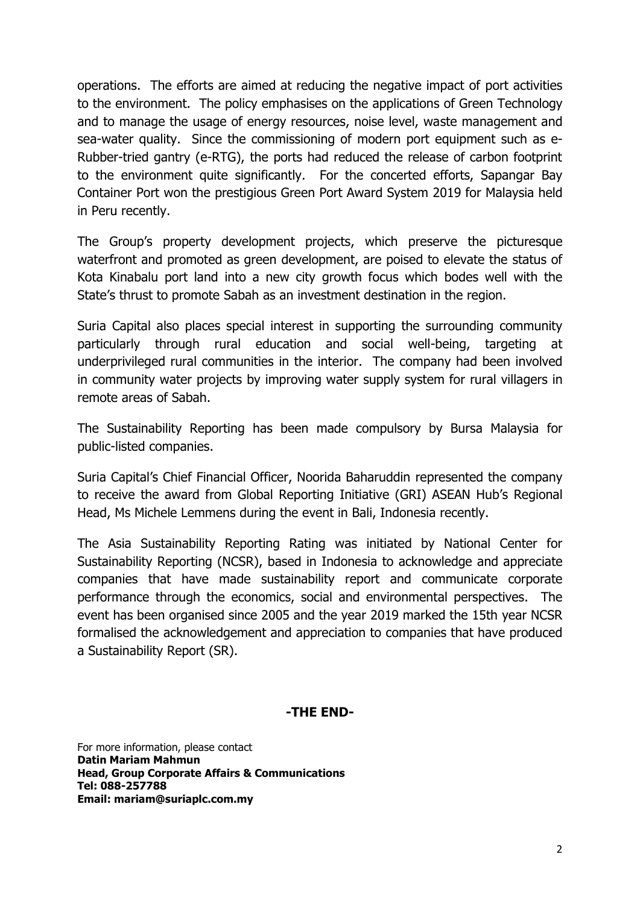operations. The efforts are aimed at reducing the negative impact of port activities to the environment. The policy emphasises on the applications of Green Technology and to manage the usage of energy resources, noise level, waste management and sea-water quality. Since the commissioning of modern port equipment such as e-Rubber-tried gantry (e-RTG), the ports had reduced the release of carbon footprint to the environment quite significantly. For the concerted efforts, Sapangar Bay Container Port won the prestigious Green Port Award System 2019 for Malaysia held in Peru recently.

The Group's property development projects, which preserve the picturesque waterfront and promoted as green development, are poised to elevate the status of Kota Kinabalu port land into a new city growth focus which bodes well with the State's thrust to promote Sabah as an investment destination in the region.

Suria Capital also places special interest in supporting the surrounding community particularly through rural education and social well-being, targeting at underprivileged rural communities in the interior. The company had been involved in community water projects by improving water supply system for rural villagers in remote areas of Sabah.

The Sustainability Reporting has been made compulsory by Bursa Malaysia for public-listed companies.

Suria Capital's Chief Financial Officer, Noorida Baharuddin represented the company to receive the award from Global Reporting Initiative (GRI) ASEAN Hub's Regional Head, Ms Michele Lemmens during the event in Bali, Indonesia recently.

The Asia Sustainability Reporting Rating was initiated by National Center for Sustainability Reporting (NCSR), based in Indonesia to acknowledge and appreciate companies that have made sustainability report and communicate corporate performance through the economics, social and environmental perspectives. The event has been organised since 2005 and the year 2019 marked the 15th year NCSR formalised the acknowledgement and appreciation to companies that have produced a Sustainability Report (SR).

## **-THE END-**

For more information, please contact **Datin Mariam Mahmun Head, Group Corporate Affairs & Communications Tel: 088-257788 Email: mariam@suriaplc.com.my**